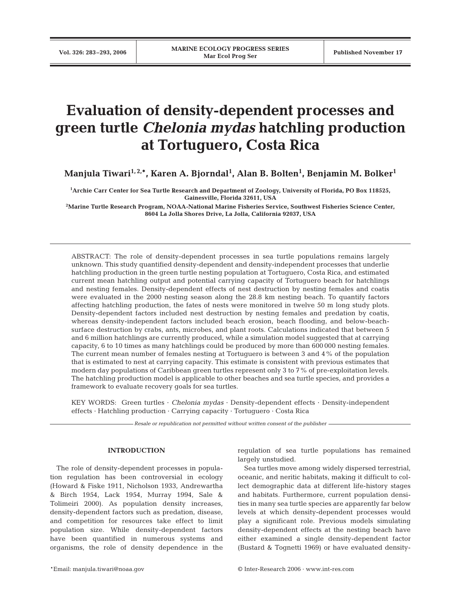# **Evaluation of density-dependent processes and green turtle** *Chelonia mydas* **hatchling production at Tortuguero, Costa Rica**

Manjula Tiwari<sup>1,2,</sup>\*, Karen A. Bjorndal<sup>1</sup>, Alan B. Bolten<sup>1</sup>, Benjamin M. Bolker<sup>1</sup>

**1 Archie Carr Center for Sea Turtle Research and Department of Zoology, University of Florida, PO Box 118525, Gainesville, Florida 32611, USA**

**2 Marine Turtle Research Program, NOAA-National Marine Fisheries Service, Southwest Fisheries Science Center, 8604 La Jolla Shores Drive, La Jolla, California 92037, USA**

ABSTRACT: The role of density-dependent processes in sea turtle populations remains largely unknown. This study quantified density-dependent and density-independent processes that underlie hatchling production in the green turtle nesting population at Tortuguero, Costa Rica, and estimated current mean hatchling output and potential carrying capacity of Tortuguero beach for hatchlings and nesting females. Density-dependent effects of nest destruction by nesting females and coatis were evaluated in the 2000 nesting season along the 28.8 km nesting beach. To quantify factors affecting hatchling production, the fates of nests were monitored in twelve 50 m long study plots. Density-dependent factors included nest destruction by nesting females and predation by coatis, whereas density-independent factors included beach erosion, beach flooding, and below-beachsurface destruction by crabs, ants, microbes, and plant roots. Calculations indicated that between 5 and 6 million hatchlings are currently produced, while a simulation model suggested that at carrying capacity, 6 to 10 times as many hatchlings could be produced by more than 600 000 nesting females. The current mean number of females nesting at Tortuguero is between 3 and 4% of the population that is estimated to nest at carrying capacity. This estimate is consistent with previous estimates that modern day populations of Caribbean green turtles represent only 3 to 7% of pre-exploitation levels. The hatchling production model is applicable to other beaches and sea turtle species, and provides a framework to evaluate recovery goals for sea turtles.

KEY WORDS: Green turtles · *Chelonia mydas* · Density-dependent effects · Density-independent effects · Hatchling production · Carrying capacity · Tortuguero · Costa Rica

*Resale or republication not permitted without written consent of the publisher*

# **INTRODUCTION**

The role of density-dependent processes in population regulation has been controversial in ecology (Howard & Fiske 1911, Nicholson 1933, Andrewartha & Birch 1954, Lack 1954, Murray 1994, Sale & Tolimeiri 2000). As population density increases, density-dependent factors such as predation, disease, and competition for resources take effect to limit population size. While density-dependent factors have been quantified in numerous systems and organisms, the role of density dependence in the

regulation of sea turtle populations has remained largely unstudied.

Sea turtles move among widely dispersed terrestrial, oceanic, and neritic habitats, making it difficult to collect demographic data at different life-history stages and habitats. Furthermore, current population densities in many sea turtle species are apparently far below levels at which density-dependent processes would play a significant role. Previous models simulating density-dependent effects at the nesting beach have either examined a single density-dependent factor (Bustard & Tognetti 1969) or have evaluated density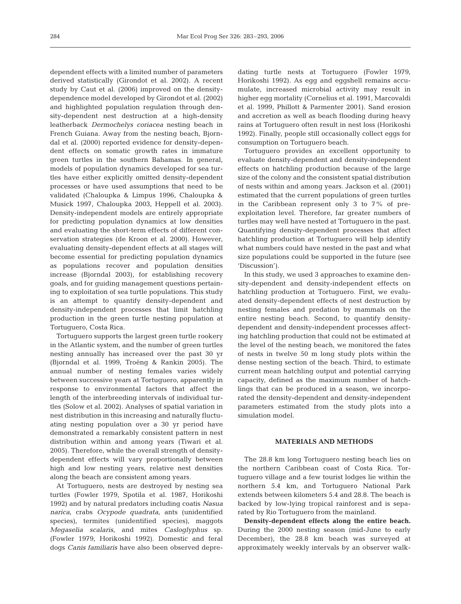dependent effects with a limited number of parameters derived statistically (Girondot et al. 2002). A recent study by Caut et al. (2006) improved on the densitydependence model developed by Girondot et al. (2002) and highlighted population regulation through density-dependent nest destruction at a high-density leatherback *Dermochelys coriacea* nesting beach in French Guiana. Away from the nesting beach, Bjorndal et al. (2000) reported evidence for density-dependent effects on somatic growth rates in immature green turtles in the southern Bahamas. In general, models of population dynamics developed for sea turtles have either explicitly omitted density-dependent processes or have used assumptions that need to be validated (Chaloupka & Limpus 1996, Chaloupka & Musick 1997, Chaloupka 2003, Heppell et al. 2003). Density-independent models are entirely appropriate for predicting population dynamics at low densities and evaluating the short-term effects of different conservation strategies (de Kroon et al. 2000). However, evaluating density-dependent effects at all stages will become essential for predicting population dynamics as populations recover and population densities increase (Bjorndal 2003), for establishing recovery goals, and for guiding management questions pertaining to exploitation of sea turtle populations. This study is an attempt to quantify density-dependent and density-independent processes that limit hatchling production in the green turtle nesting population at Tortuguero, Costa Rica.

Tortuguero supports the largest green turtle rookery in the Atlantic system, and the number of green turtles nesting annually has increased over the past 30 yr (Bjorndal et al. 1999, Troëng & Rankin 2005). The annual number of nesting females varies widely between successive years at Tortuguero, apparently in response to environmental factors that affect the length of the interbreeding intervals of individual turtles (Solow et al. 2002). Analyses of spatial variation in nest distribution in this increasing and naturally fluctuating nesting population over a 30 yr period have demonstrated a remarkably consistent pattern in nest distribution within and among years (Tiwari et al. 2005). Therefore, while the overall strength of densitydependent effects will vary proportionally between high and low nesting years, relative nest densities along the beach are consistent among years.

At Tortuguero, nests are destroyed by nesting sea turtles (Fowler 1979, Spotila et al. 1987, Horikoshi 1992) and by natural predators including coatis *Nasua narica*, crabs *Ocypode quadrata*, ants (unidentified species), termites (unidentified species), maggots *Megaselia scalaris*, and mites *Casloglyphus* sp. (Fowler 1979, Horikoshi 1992). Domestic and feral dogs *Canis familiaris* have also been observed depredating turtle nests at Tortuguero (Fowler 1979, Horikoshi 1992). As egg and eggshell remains accumulate, increased microbial activity may result in higher egg mortality (Cornelius et al. 1991, Marcovaldi et al. 1999, Phillott & Parmenter 2001). Sand erosion and accretion as well as beach flooding during heavy rains at Tortuguero often result in nest loss (Horikoshi 1992). Finally, people still occasionally collect eggs for consumption on Tortuguero beach.

Tortuguero provides an excellent opportunity to evaluate density-dependent and density-independent effects on hatchling production because of the large size of the colony and the consistent spatial distribution of nests within and among years. Jackson et al. (2001) estimated that the current populations of green turtles in the Caribbean represent only 3 to 7% of preexploitation level. Therefore, far greater numbers of turtles may well have nested at Tortuguero in the past. Quantifying density-dependent processes that affect hatchling production at Tortuguero will help identify what numbers could have nested in the past and what size populations could be supported in the future (see 'Discussion').

In this study, we used 3 approaches to examine density-dependent and density-independent effects on hatchling production at Tortuguero. First, we evaluated density-dependent effects of nest destruction by nesting females and predation by mammals on the entire nesting beach. Second, to quantify densitydependent and density-independent processes affecting hatchling production that could not be estimated at the level of the nesting beach, we monitored the fates of nests in twelve 50 m long study plots within the dense nesting section of the beach. Third, to estimate current mean hatchling output and potential carrying capacity, defined as the maximum number of hatchlings that can be produced in a season, we incorporated the density-dependent and density-independent parameters estimated from the study plots into a simulation model.

# **MATERIALS AND METHODS**

The 28.8 km long Tortuguero nesting beach lies on the northern Caribbean coast of Costa Rica. Tortuguero village and a few tourist lodges lie within the northern 5.4 km, and Tortuguero National Park extends between kilometers 5.4 and 28.8. The beach is backed by low-lying tropical rainforest and is separated by Rio Tortuguero from the mainland.

**Density-dependent effects along the entire beach.** During the 2000 nesting season (mid-June to early December), the 28.8 km beach was surveyed at approximately weekly intervals by an observer walk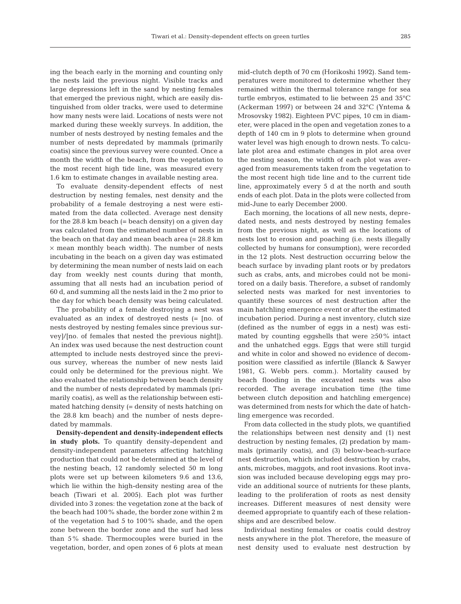ing the beach early in the morning and counting only the nests laid the previous night. Visible tracks and large depressions left in the sand by nesting females that emerged the previous night, which are easily distinguished from older tracks, were used to determine how many nests were laid. Locations of nests were not marked during these weekly surveys. In addition, the number of nests destroyed by nesting females and the number of nests depredated by mammals (primarily coatis) since the previous survey were counted. Once a month the width of the beach, from the vegetation to the most recent high tide line, was measured every 1.6 km to estimate changes in available nesting area.

To evaluate density-dependent effects of nest destruction by nesting females, nest density and the probability of a female destroying a nest were estimated from the data collected. Average nest density for the 28.8 km beach (= beach density) on a given day was calculated from the estimated number of nests in the beach on that day and mean beach area (= 28.8 km  $\times$  mean monthly beach width). The number of nests incubating in the beach on a given day was estimated by determining the mean number of nests laid on each day from weekly nest counts during that month, assuming that all nests had an incubation period of 60 d, and summing all the nests laid in the 2 mo prior to the day for which beach density was being calculated.

The probability of a female destroying a nest was evaluated as an index of destroyed nests (= [no. of nests destroyed by nesting females since previous survey]/[no. of females that nested the previous night]). An index was used because the nest destruction count attempted to include nests destroyed since the previous survey, whereas the number of new nests laid could only be determined for the previous night. We also evaluated the relationship between beach density and the number of nests depredated by mammals (primarily coatis), as well as the relationship between estimated hatching density (= density of nests hatching on the 28.8 km beach) and the number of nests depredated by mammals.

**Density-dependent and density-independent effects in study plots.** To quantify density-dependent and density-independent parameters affecting hatchling production that could not be determined at the level of the nesting beach, 12 randomly selected 50 m long plots were set up between kilometers 9.6 and 13.6, which lie within the high-density nesting area of the beach (Tiwari et al. 2005). Each plot was further divided into 3 zones: the vegetation zone at the back of the beach had 100% shade, the border zone within 2 m of the vegetation had 5 to 100% shade, and the open zone between the border zone and the surf had less than 5% shade. Thermocouples were buried in the vegetation, border, and open zones of 6 plots at mean

mid-clutch depth of 70 cm (Horikoshi 1992). Sand temperatures were monitored to determine whether they remained within the thermal tolerance range for sea turtle embryos, estimated to lie between 25 and 35°C (Ackerman 1997) or between 24 and 32°C (Yntema & Mrosovsky 1982). Eighteen PVC pipes, 10 cm in diameter, were placed in the open and vegetation zones to a depth of 140 cm in 9 plots to determine when ground water level was high enough to drown nests. To calculate plot area and estimate changes in plot area over the nesting season, the width of each plot was averaged from measurements taken from the vegetation to the most recent high tide line and to the current tide line, approximately every 5 d at the north and south ends of each plot. Data in the plots were collected from mid-June to early December 2000.

Each morning, the locations of all new nests, depredated nests, and nests destroyed by nesting females from the previous night, as well as the locations of nests lost to erosion and poaching (i.e. nests illegally collected by humans for consumption), were recorded in the 12 plots. Nest destruction occurring below the beach surface by invading plant roots or by predators such as crabs, ants, and microbes could not be monitored on a daily basis. Therefore, a subset of randomly selected nests was marked for nest inventories to quantify these sources of nest destruction after the main hatchling emergence event or after the estimated incubation period. During a nest inventory, clutch size (defined as the number of eggs in a nest) was estimated by counting eggshells that were ≥50% intact and the unhatched eggs. Eggs that were still turgid and white in color and showed no evidence of decomposition were classified as infertile (Blanck & Sawyer 1981, G. Webb pers. comm.). Mortality caused by beach flooding in the excavated nests was also recorded. The average incubation time (the time between clutch deposition and hatchling emergence) was determined from nests for which the date of hatchling emergence was recorded.

From data collected in the study plots, we quantified the relationships between nest density and (1) nest destruction by nesting females, (2) predation by mammals (primarily coatis), and (3) below-beach-surface nest destruction, which included destruction by crabs, ants, microbes, maggots, and root invasions. Root invasion was included because developing eggs may provide an additional source of nutrients for these plants, leading to the proliferation of roots as nest density increases. Different measures of nest density were deemed appropriate to quantify each of these relationships and are described below.

Individual nesting females or coatis could destroy nests anywhere in the plot. Therefore, the measure of nest density used to evaluate nest destruction by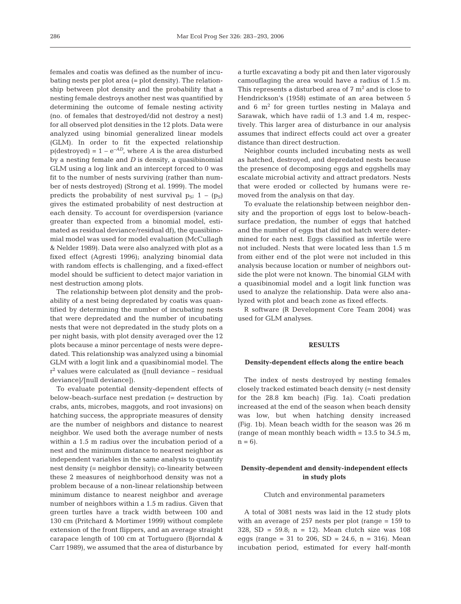females and coatis was defined as the number of incubating nests per plot area (= plot density). The relationship between plot density and the probability that a nesting female destroys another nest was quantified by determining the outcome of female nesting activity (no. of females that destroyed/did not destroy a nest) for all observed plot densities in the 12 plots. Data were analyzed using binomial generalized linear models (GLM). In order to fit the expected relationship  $p$ (destroyed) =  $1 - e^{-AD}$ , where *A* is the area disturbed by a nesting female and *D* is density, a quasibinomial GLM using a log link and an intercept forced to 0 was fit to the number of nests surviving (rather than number of nests destroyed) (Strong et al. 1999). The model predicts the probability of nest survival  $p_{\rm Si}$  1 – (p<sub>S</sub>) gives the estimated probability of nest destruction at each density. To account for overdispersion (variance greater than expected from a binomial model, estimated as residual deviance/residual df), the quasibinomial model was used for model evaluation (McCullagh & Nelder 1989). Data were also analyzed with plot as a fixed effect (Agresti 1996); analyzing binomial data with random effects is challenging, and a fixed-effect model should be sufficient to detect major variation in nest destruction among plots.

The relationship between plot density and the probability of a nest being depredated by coatis was quantified by determining the number of incubating nests that were depredated and the number of incubating nests that were not depredated in the study plots on a per night basis, with plot density averaged over the 12 plots because a minor percentage of nests were depredated. This relationship was analyzed using a binomial GLM with a logit link and a quasibinomial model. The  $r^2$  values were calculated as ([null deviance – residual deviance]/[null deviance]).

To evaluate potential density-dependent effects of below-beach-surface nest predation (= destruction by crabs, ants, microbes, maggots, and root invasions) on hatching success, the appropriate measures of density are the number of neighbors and distance to nearest neighbor. We used both the average number of nests within a 1.5 m radius over the incubation period of a nest and the minimum distance to nearest neighbor as independent variables in the same analysis to quantify nest density (= neighbor density); co-linearity between these 2 measures of neighborhood density was not a problem because of a non-linear relationship between minimum distance to nearest neighbor and average number of neighbors within a 1.5 m radius. Given that green turtles have a track width between 100 and 130 cm (Pritchard & Mortimer 1999) without complete extension of the front flippers, and an average straight carapace length of 100 cm at Tortuguero (Bjorndal & Carr 1989), we assumed that the area of disturbance by a turtle excavating a body pit and then later vigorously camouflaging the area would have a radius of 1.5 m. This represents a disturbed area of  $7 \text{ m}^2$  and is close to Hendrickson's (1958) estimate of an area between 5 and  $6 \text{ m}^2$  for green turtles nesting in Malaya and Sarawak, which have radii of 1.3 and 1.4 m, respectively. This larger area of disturbance in our analysis assumes that indirect effects could act over a greater distance than direct destruction.

Neighbor counts included incubating nests as well as hatched, destroyed, and depredated nests because the presence of decomposing eggs and eggshells may escalate microbial activity and attract predators. Nests that were eroded or collected by humans were removed from the analysis on that day.

To evaluate the relationship between neighbor density and the proportion of eggs lost to below-beachsurface predation, the number of eggs that hatched and the number of eggs that did not hatch were determined for each nest. Eggs classified as infertile were not included. Nests that were located less than 1.5 m from either end of the plot were not included in this analysis because location or number of neighbors outside the plot were not known. The binomial GLM with a quasibinomial model and a logit link function was used to analyze the relationship. Data were also analyzed with plot and beach zone as fixed effects.

R software (R Development Core Team 2004) was used for GLM analyses.

## **RESULTS**

#### **Density-dependent effects along the entire beach**

The index of nests destroyed by nesting females closely tracked estimated beach density (= nest density for the 28.8 km beach) (Fig. 1a). Coati predation increased at the end of the season when beach density was low, but when hatching density increased (Fig. 1b). Mean beach width for the season was 26 m (range of mean monthly beach width  $= 13.5$  to 34.5 m,  $n = 6$ ).

# **Density-dependent and density-independent effects in study plots**

#### Clutch and environmental parameters

A total of 3081 nests was laid in the 12 study plots with an average of 257 nests per plot (range = 159 to 328, SD =  $59.8$ ; n = 12). Mean clutch size was 108 eggs (range = 31 to 206, SD = 24.6,  $n = 316$ ). Mean incubation period, estimated for every half-month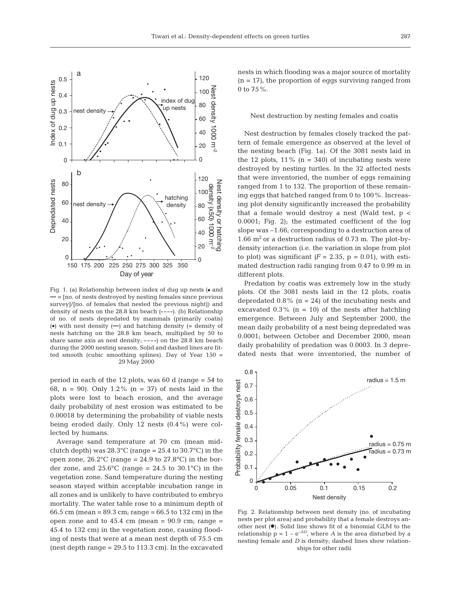

Fig. 1. (a) Relationship between index of dug up nests  $(•$  and **—** = [no. of nests destroyed by nesting females since previous survey]/[no. of females that nested the previous night]) and density of nests on the 28.8 km beach (**––––**). (b) Relationship of no. of nests depredated by mammals (primarily coatis)  $\phi$ ) with nest density  $\left($ —) and hatching density  $\left($  = density of nests hatching on the 28.8 km beach, multiplied by 50 to share same axis as nest density; **––––**) on the 28.8 km beach during the 2000 nesting season. Solid and dashed lines are fitted smooth (cubic smoothing splines). Day of Year 150 = 29 May 2000

period in each of the 12 plots, was 60 d (range = 54 to 68, n = 90). Only 1.2% (n = 37) of nests laid in the plots were lost to beach erosion, and the average daily probability of nest erosion was estimated to be 0.00018 by determining the probability of viable nests being eroded daily. Only 12 nests (0.4%) were collected by humans.

Average sand temperature at 70 cm (mean midclutch depth) was  $28.3^{\circ}$ C (range = 25.4 to 30.7°C) in the open zone,  $26.2^{\circ}$ C (range = 24.9 to 27.8 $^{\circ}$ C) in the border zone, and  $25.6^{\circ}$ C (range = 24.5 to 30.1°C) in the vegetation zone. Sand temperature during the nesting season stayed within acceptable incubation range in all zones and is unlikely to have contributed to embryo mortality. The water table rose to a minimum depth of 66.5 cm (mean = 89.3 cm; range = 66.5 to 132 cm) in the open zone and to  $45.4 \text{ cm}$  (mean =  $90.9 \text{ cm}$ ; range = 45.4 to 132 cm) in the vegetation zone, causing flooding of nests that were at a mean nest depth of 75.5 cm (nest depth range  $= 29.5$  to 113.3 cm). In the excavated

nests in which flooding was a major source of mortality  $(n = 17)$ , the proportion of eggs surviving ranged from 0 to  $75%$ .

#### Nest destruction by nesting females and coatis

Nest destruction by females closely tracked the pattern of female emergence as observed at the level of the nesting beach (Fig. 1a). Of the 3081 nests laid in the 12 plots,  $11\%$  (n = 340) of incubating nests were destroyed by nesting turtles. In the 32 affected nests that were inventoried, the number of eggs remaining ranged from 1 to 132. The proportion of these remaining eggs that hatched ranged from 0 to 100%. Increasing plot density significantly increased the probability that a female would destroy a nest (Wald test,  $p <$ 0.0001; Fig. 2); the estimated coefficient of the log slope was –1.66, corresponding to a destruction area of 1.66  $m<sup>2</sup>$  or a destruction radius of 0.73 m. The plot-bydensity interaction (i.e. the variation in slope from plot to plot) was significant  $(F = 2.35, p = 0.01)$ , with estimated destruction radii ranging from 0.47 to 0.99 m in different plots.

Predation by coatis was extremely low in the study plots. Of the 3081 nests laid in the 12 plots, coatis depredated  $0.8\%$  (n = 24) of the incubating nests and excavated  $0.3\%$  (n = 10) of the nests after hatchling emergence. Between July and September 2000, the mean daily probability of a nest being depredated was 0.0001; between October and December 2000, mean daily probability of predation was 0.0003. In 3 depredated nests that were inventoried, the number of



Fig. 2. Relationship between nest density (no. of incubating nests per plot area) and probability that a female destroys another nest  $(•)$ . Solid line shows fit of a binomial GLM to the relationship  $p = 1 - e^{-AD}$ , where *A* is the area disturbed by a nesting female and *D* is density; dashed lines show relationships for other radii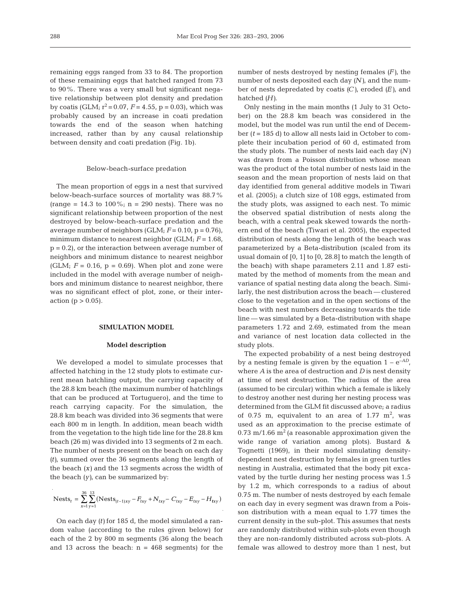remaining eggs ranged from 33 to 84. The proportion of these remaining eggs that hatched ranged from 73 to 90%. There was a very small but significant negative relationship between plot density and predation by coatis (GLM;  $r^2 = 0.07$ ,  $F = 4.55$ ,  $p = 0.03$ ), which was probably caused by an increase in coati predation towards the end of the season when hatching increased, rather than by any causal relationship between density and coati predation (Fig. 1b).

#### Below-beach-surface predation

The mean proportion of eggs in a nest that survived below-beach-surface sources of mortality was 88.7% (range = 14.3 to 100%;  $n = 290$  nests). There was no significant relationship between proportion of the nest destroyed by below-beach-surface predation and the average number of neighbors  $(GLM; F = 0.10, p = 0.76)$ , minimum distance to nearest neighbor (GLM; *F* = 1.68,  $p = 0.2$ , or the interaction between average number of neighbors and minimum distance to nearest neighbor (GLM;  $F = 0.16$ ,  $p = 0.69$ ). When plot and zone were included in the model with average number of neighbors and minimum distance to nearest neighbor, there was no significant effect of plot, zone, or their interaction ( $p > 0.05$ ).

#### **SIMULATION MODEL**

#### **Model description**

We developed a model to simulate processes that affected hatching in the 12 study plots to estimate current mean hatchling output, the carrying capacity of the 28.8 km beach (the maximum number of hatchlings that can be produced at Tortuguero), and the time to reach carrying capacity. For the simulation, the 28.8 km beach was divided into 36 segments that were each 800 m in length. In addition, mean beach width from the vegetation to the high tide line for the 28.8 km beach (26 m) was divided into 13 segments of 2 m each. The number of nests present on the beach on each day *(t)*, summed over the 36 segments along the length of the beach *(x)* and the 13 segments across the width of the beach *(y)*, can be summarized by:

Nest<sub>t</sub> = 
$$
\sum_{x=1}^{36} \sum_{y=1}^{13} (\text{Nests}_{(t-1)xy} - F_{txy} + N_{txy} - C_{txy} - E_{txy} - H_{txy})
$$

On each day *(t)* for 185 d, the model simulated a random value (according to the rules given below) for each of the 2 by 800 m segments (36 along the beach and 13 across the beach:  $n = 468$  segments) for the

number of nests destroyed by nesting females *(F)*, the number of nests deposited each day *(N)*, and the number of nests depredated by coatis *(C)*, eroded *(E)*, and hatched *(H)*.

Only nesting in the main months (1 July to 31 October) on the 28.8 km beach was considered in the model, but the model was run until the end of December (*t* = 185 d) to allow all nests laid in October to complete their incubation period of 60 d, estimated from the study plots. The number of nests laid each day *(N)* was drawn from a Poisson distribution whose mean was the product of the total number of nests laid in the season and the mean proportion of nests laid on that day identified from general additive models in Tiwari et al. (2005); a clutch size of 108 eggs, estimated from the study plots, was assigned to each nest. To mimic the observed spatial distribution of nests along the beach, with a central peak skewed towards the northern end of the beach (Tiwari et al. 2005), the expected distribution of nests along the length of the beach was parameterized by a Beta-distribution (scaled from its usual domain of [0, 1] to [0, 28.8] to match the length of the beach) with shape parameters 2.11 and 1.87 estimated by the method of moments from the mean and variance of spatial nesting data along the beach. Similarly, the nest distribution across the beach — clustered close to the vegetation and in the open sections of the beach with nest numbers decreasing towards the tide line — was simulated by a Beta-distribution with shape parameters 1.72 and 2.69, estimated from the mean and variance of nest location data collected in the study plots.

The expected probability of a nest being destroyed by a nesting female is given by the equation  $1 - e^{-AD}$ , where *A* is the area of destruction and *D* is nest density at time of nest destruction. The radius of the area (assumed to be circular) within which a female is likely to destroy another nest during her nesting process was determined from the GLM fit discussed above; a radius of 0.75 m, equivalent to an area of 1.77  $m^2$ , was used as an approximation to the precise estimate of 0.73 m/1.66  $m^2$  (a reasonable approximation given the wide range of variation among plots). Bustard & Tognetti (1969), in their model simulating densitydependent nest destruction by females in green turtles nesting in Australia, estimated that the body pit excavated by the turtle during her nesting process was 1.5 by 1.2 m, which corresponds to a radius of about 0.75 m. The number of nests destroyed by each female on each day in every segment was drawn from a Poisson distribution with a mean equal to 1.77 times the current density in the sub-plot. This assumes that nests are randomly distributed within sub-plots even though they are non-randomly distributed across sub-plots. A female was allowed to destroy more than 1 nest, but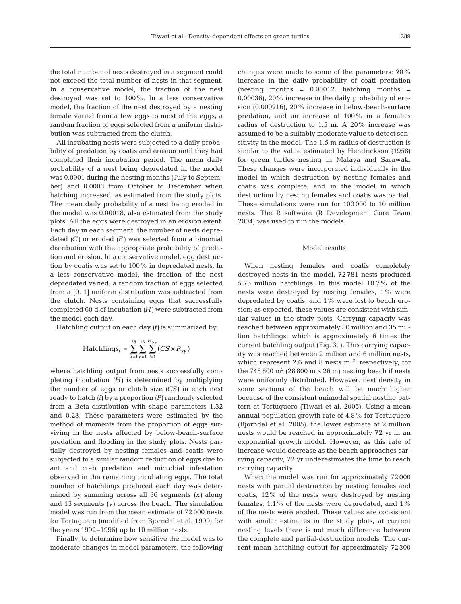the total number of nests destroyed in a segment could not exceed the total number of nests in that segment. In a conservative model, the fraction of the nest destroyed was set to 100%. In a less conservative model, the fraction of the nest destroyed by a nesting female varied from a few eggs to most of the eggs; a random fraction of eggs selected from a uniform distribution was subtracted from the clutch.

All incubating nests were subjected to a daily probability of predation by coatis and erosion until they had completed their incubation period. The mean daily probability of a nest being depredated in the model was 0.0001 during the nesting months (July to September) and 0.0003 from October to December when hatching increased, as estimated from the study plots. The mean daily probability of a nest being eroded in the model was 0.00018, also estimated from the study plots. All the eggs were destroyed in an erosion event. Each day in each segment, the number of nests depredated *(C)* or eroded *(E)* was selected from a binomial distribution with the appropriate probability of predation and erosion. In a conservative model, egg destruction by coatis was set to 100% in depredated nests. In a less conservative model, the fraction of the nest depredated varied; a random fraction of eggs selected from a [0, 1] uniform distribution was subtracted from the clutch. Nests containing eggs that successfully completed 60 d of incubation *(H)* were subtracted from the model each day.

Hatchling output on each day *(t)* is summarized by:

$$
\text{Hatchlings}_{t} = \sum_{x=1}^{36} \sum_{y=1}^{13} \sum_{i=1}^{H_{\text{txy}}} \big( CS \times P_{\text{txy}} \big)
$$

where hatchling output from nests successfully completing incubation *(H)* is determined by multiplying the number of eggs or clutch size *(CS)* in each nest ready to hatch *(i)* by a proportion *(P)* randomly selected from a Beta-distribution with shape parameters 1.32 and 0.23. These parameters were estimated by the method of moments from the proportion of eggs surviving in the nests affected by below-beach-surface predation and flooding in the study plots. Nests partially destroyed by nesting females and coatis were subjected to a similar random reduction of eggs due to ant and crab predation and microbial infestation observed in the remaining incubating eggs. The total number of hatchlings produced each day was determined by summing across all 36 segments *(x)* along and 13 segments *(y)* across the beach. The simulation model was run from the mean estimate of 72 000 nests for Tortuguero (modified from Bjorndal et al. 1999) for the years 1992–1996) up to 10 million nests.

Finally, to determine how sensitive the model was to moderate changes in model parameters, the following

changes were made to some of the parameters: 20% increase in the daily probability of coati predation (nesting months  $= 0.00012$ , hatching months  $=$ 0.00036), 20% increase in the daily probability of erosion (0.000216), 20% increase in below-beach-surface predation, and an increase of 100% in a female's radius of destruction to 1.5 m. A 20% increase was assumed to be a suitably moderate value to detect sensitivity in the model. The 1.5 m radius of destruction is similar to the value estimated by Hendrickson (1958) for green turtles nesting in Malaya and Sarawak. These changes were incorporated individually in the model in which destruction by nesting females and coatis was complete, and in the model in which destruction by nesting females and coatis was partial. These simulations were run for 100 000 to 10 million nests. The R software (R Development Core Team 2004) was used to run the models.

# Model results

When nesting females and coatis completely destroyed nests in the model, 72 781 nests produced 5.76 million hatchlings. In this model 10.7% of the nests were destroyed by nesting females, 1% were depredated by coatis, and 1% were lost to beach erosion; as expected, these values are consistent with similar values in the study plots. Carrying capacity was reached between approximately 30 million and 35 million hatchlings, which is approximately 6 times the current hatchling output (Fig. 3a). This carrying capacity was reached between 2 million and 6 million nests, which represent 2.6 and 8 nests  $m^{-2}$ , respectively, for the 748 800 m<sup>2</sup> (28 800 m  $\times$  26 m) nesting beach if nests were uniformly distributed. However, nest density in some sections of the beach will be much higher because of the consistent unimodal spatial nesting pattern at Tortuguero (Tiwari et al. 2005). Using a mean annual population growth rate of 4.8% for Tortuguero (Bjorndal et al. 2005), the lower estimate of 2 million nests would be reached in approximately 72 yr in an exponential growth model. However, as this rate of increase would decrease as the beach approaches carrying capacity, 72 yr underestimates the time to reach carrying capacity.

When the model was run for approximately 72 000 nests with partial destruction by nesting females and coatis, 12% of the nests were destroyed by nesting females,  $1.1\%$  of the nests were depredated, and  $1\%$ of the nests were eroded. These values are consistent with similar estimates in the study plots; at current nesting levels there is not much difference between the complete and partial-destruction models. The current mean hatchling output for approximately 72 300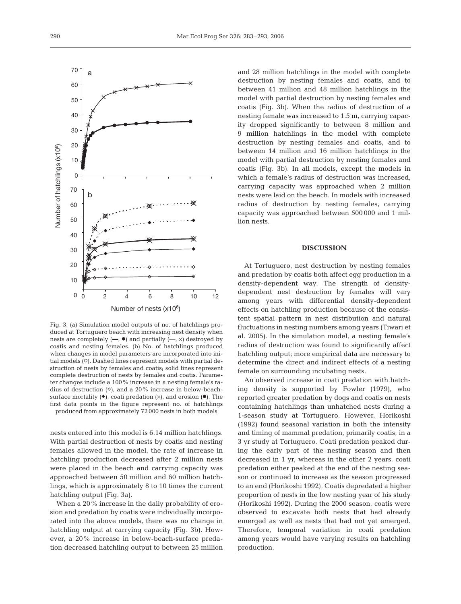

Fig. 3. (a) Simulation model outputs of no. of hatchlings produced at Tortuguero beach with increasing nest density when nests are completely  $(-, \bullet)$  and partially  $(-, \times)$  destroyed by coatis and nesting females. (b) No. of hatchlings produced when changes in model parameters are incorporated into initial models (O). Dashed lines represent models with partial destruction of nests by females and coatis; solid lines represent complete destruction of nests by females and coatis. Parameter changes include a 100% increase in a nesting female's radius of destruction  $(\Diamond)$ , and a 20% increase in below-beachsurface mortality  $(\bullet)$ , coati predation  $(x)$ , and erosion  $(\bullet)$ . The first data points in the figure represent no. of hatchlings produced from approximately 72 000 nests in both models

nests entered into this model is 6.14 million hatchlings. With partial destruction of nests by coatis and nesting females allowed in the model, the rate of increase in hatchling production decreased after 2 million nests were placed in the beach and carrying capacity was approached between 50 million and 60 million hatchlings, which is approximately 8 to 10 times the current hatchling output (Fig. 3a).

When a 20% increase in the daily probability of erosion and predation by coatis were individually incorporated into the above models, there was no change in hatchling output at carrying capacity (Fig. 3b). However, a 20% increase in below-beach-surface predation decreased hatchling output to between 25 million

and 28 million hatchlings in the model with complete destruction by nesting females and coatis, and to between 41 million and 48 million hatchlings in the model with partial destruction by nesting females and coatis (Fig. 3b). When the radius of destruction of a nesting female was increased to 1.5 m, carrying capacity dropped significantly to between 8 million and 9 million hatchlings in the model with complete destruction by nesting females and coatis, and to between 14 million and 16 million hatchlings in the model with partial destruction by nesting females and coatis (Fig. 3b). In all models, except the models in which a female's radius of destruction was increased, carrying capacity was approached when 2 million nests were laid on the beach. In models with increased radius of destruction by nesting females, carrying capacity was approached between 500 000 and 1 million nests.

## **DISCUSSION**

At Tortuguero, nest destruction by nesting females and predation by coatis both affect egg production in a density-dependent way. The strength of densitydependent nest destruction by females will vary among years with differential density-dependent effects on hatchling production because of the consistent spatial pattern in nest distribution and natural fluctuations in nesting numbers among years (Tiwari et al. 2005). In the simulation model, a nesting female's radius of destruction was found to significantly affect hatchling output; more empirical data are necessary to determine the direct and indirect effects of a nesting female on surrounding incubating nests.

An observed increase in coati predation with hatching density is supported by Fowler (1979), who reported greater predation by dogs and coatis on nests containing hatchlings than unhatched nests during a 1-season study at Tortuguero. However, Horikoshi (1992) found seasonal variation in both the intensity and timing of mammal predation, primarily coatis, in a 3 yr study at Tortuguero. Coati predation peaked during the early part of the nesting season and then decreased in 1 yr, whereas in the other 2 years, coati predation either peaked at the end of the nesting season or continued to increase as the season progressed to an end (Horikoshi 1992). Coatis depredated a higher proportion of nests in the low nesting year of his study (Horikoshi 1992). During the 2000 season, coatis were observed to excavate both nests that had already emerged as well as nests that had not yet emerged. Therefore, temporal variation in coati predation among years would have varying results on hatchling production.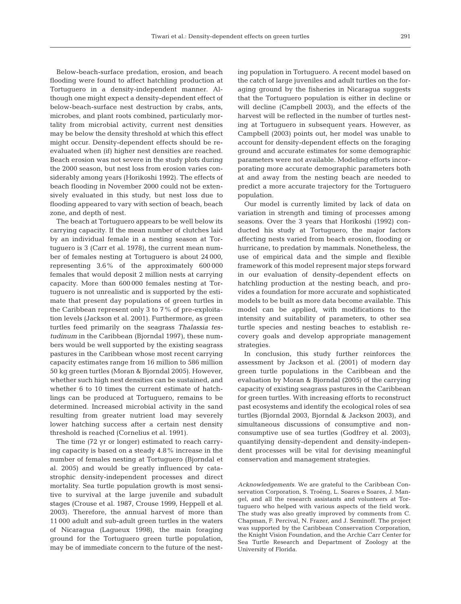Below-beach-surface predation, erosion, and beach flooding were found to affect hatchling production at Tortuguero in a density-independent manner. Although one might expect a density-dependent effect of below-beach-surface nest destruction by crabs, ants, microbes, and plant roots combined, particularly mortality from microbial activity, current nest densities may be below the density threshold at which this effect might occur. Density-dependent effects should be reevaluated when (if) higher nest densities are reached. Beach erosion was not severe in the study plots during the 2000 season, but nest loss from erosion varies considerably among years (Horikoshi 1992). The effects of beach flooding in November 2000 could not be extensively evaluated in this study, but nest loss due to flooding appeared to vary with section of beach, beach zone, and depth of nest.

The beach at Tortuguero appears to be well below its carrying capacity. If the mean number of clutches laid by an individual female in a nesting season at Tortuguero is 3 (Carr et al. 1978), the current mean number of females nesting at Tortuguero is about 24 000, representing 3.6% of the approximately 600 000 females that would deposit 2 million nests at carrying capacity. More than 600 000 females nesting at Tortuguero is not unrealistic and is supported by the estimate that present day populations of green turtles in the Caribbean represent only 3 to 7% of pre-exploitation levels (Jackson et al. 2001). Furthermore, as green turtles feed primarily on the seagrass *Thalassia testudinum* in the Caribbean (Bjorndal 1997), these numbers would be well supported by the existing seagrass pastures in the Caribbean whose most recent carrying capacity estimates range from 16 million to 586 million 50 kg green turtles (Moran & Bjorndal 2005). However, whether such high nest densities can be sustained, and whether 6 to 10 times the current estimate of hatchlings can be produced at Tortuguero, remains to be determined. Increased microbial activity in the sand resulting from greater nutrient load may severely lower hatching success after a certain nest density threshold is reached (Cornelius et al. 1991).

The time (72 yr or longer) estimated to reach carrying capacity is based on a steady 4.8% increase in the number of females nesting at Tortuguero (Bjorndal et al. 2005) and would be greatly influenced by catastrophic density-independent processes and direct mortality. Sea turtle population growth is most sensitive to survival at the large juvenile and subadult stages (Crouse et al. 1987, Crouse 1999, Heppell et al. 2003). Therefore, the annual harvest of more than 11 000 adult and sub-adult green turtles in the waters of Nicaragua (Lagueux 1998), the main foraging ground for the Tortuguero green turtle population, may be of immediate concern to the future of the nesting population in Tortuguero. A recent model based on the catch of large juveniles and adult turtles on the foraging ground by the fisheries in Nicaragua suggests that the Tortuguero population is either in decline or will decline (Campbell 2003), and the effects of the harvest will be reflected in the number of turtles nesting at Tortuguero in subsequent years. However, as Campbell (2003) points out, her model was unable to account for density-dependent effects on the foraging ground and accurate estimates for some demographic parameters were not available. Modeling efforts incorporating more accurate demographic parameters both at and away from the nesting beach are needed to predict a more accurate trajectory for the Tortuguero population.

Our model is currently limited by lack of data on variation in strength and timing of processes among seasons. Over the 3 years that Horikoshi (1992) conducted his study at Tortuguero, the major factors affecting nests varied from beach erosion, flooding or hurricane, to predation by mammals. Nonetheless, the use of empirical data and the simple and flexible framework of this model represent major steps forward in our evaluation of density-dependent effects on hatchling production at the nesting beach, and provides a foundation for more accurate and sophisticated models to be built as more data become available. This model can be applied, with modifications to the intensity and suitability of parameters, to other sea turtle species and nesting beaches to establish recovery goals and develop appropriate management strategies.

In conclusion, this study further reinforces the assessment by Jackson et al. (2001) of modern day green turtle populations in the Caribbean and the evaluation by Moran & Bjorndal (2005) of the carrying capacity of existing seagrass pastures in the Caribbean for green turtles. With increasing efforts to reconstruct past ecosystems and identify the ecological roles of sea turtles (Bjorndal 2003, Bjorndal & Jackson 2003), and simultaneous discussions of consumptive and nonconsumptive use of sea turtles (Godfrey et al. 2003), quantifying density-dependent and density-independent processes will be vital for devising meaningful conservation and management strategies.

*Acknowledgements.* We are grateful to the Caribbean Conservation Corporation, S. Troëng, L. Soares e Soares, J. Mangel, and all the research assistants and volunteers at Tortuguero who helped with various aspects of the field work. The study was also greatly improved by comments from C. Chapman, F. Percival, N. Frazer, and J. Seminoff. The project was supported by the Caribbean Conservation Corporation, the Knight Vision Foundation, and the Archie Carr Center for Sea Turtle Research and Department of Zoology at the University of Florida.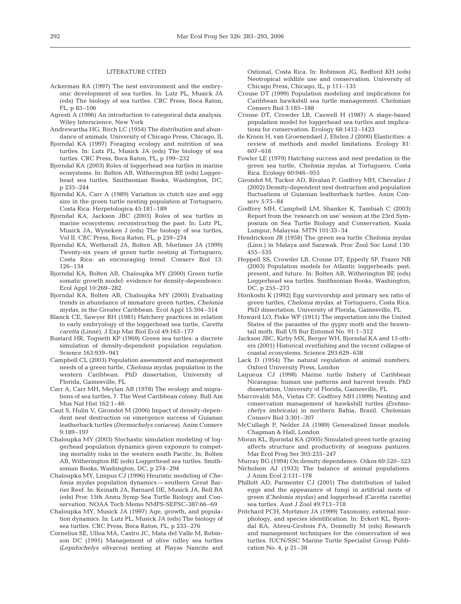## LITERATURE CITED

- Ackerman RA (1997) The nest environment and the embryonic development of sea turtles. In: Lutz PL, Musick JA (eds) The biology of sea turtles. CRC Press, Boca Raton, FL, p 83–106
- Agresti A (1996) An introduction to categorical data analysis. Wiley Interscience, New York
- Andrewartha HG, Birch LC (1954) The distribution and abundance of animals. University of Chicago Press, Chicago, IL
- Bjorndal KA (1997) Foraging ecology and nutrition of sea turtles. In: Lutz PL, Musick JA (eds) The biology of sea turtles. CRC Press, Boca Raton, FL, p 199–232
- Bjorndal KA (2003) Roles of loggerhead sea turtles in marine ecosystems. In: Bolten AB, Witherington BE (eds) Loggerhead sea turtles. Smithsonian Books, Washington, DC, p 235–244
- Bjorndal KA, Carr A (1989) Variation in clutch size and egg size in the green turtle nesting population at Tortuguero, Costa Rica. Herpetologica 45:181–189
- Bjorndal KA, Jackson JBC (2003) Roles of sea turtles in marine ecosystems: reconstructing the past. In: Lutz PL, Musick JA, Wyneken J (eds) The biology of sea turtles, Vol II. CRC Press, Boca Raton, FL, p 259–274
- Bjorndal KA, Wetherall JA, Bolten AB, Mortimer JA (1999) Twenty-six years of green turtle nesting at Tortuguero, Costa Rica: an encouraging trend. Conserv Biol 13: 126–134
- Bjorndal KA, Bolten AB, Chaloupka MY (2000) Green turtle somatic growth model: evidence for density-dependence. Ecol Appl 10:269–282
- Bjorndal KA, Bolten AB, Chaloupka MY (2005) Evaluating trends in abundance of immature green turtles, *Chelonia mydas*, in the Greater Caribbean. Ecol Appl 15:304–314
- Blanck CE, Sawyer RH (1981) Hatchery practices in relation to early embryology of the loggerhead sea turtle, *Caretta caretta* (Linné). J Exp Mar Biol Ecol 49:163–177
- Bustard HR, Tognetti KP (1969) Green sea turtles: a discrete simulation of density-dependent population regulation. Science 163:939–941
- Campbell CL (2003) Population assessment and management needs of a green turtle, *Chelonia mydas*, population in the western Caribbean. PhD dissertation, University of Florida, Gainesville, FL
- Carr A, Carr MH, Meylan AB (1978) The ecology and migrations of sea turtles, 7. The West Caribbean colony. Bull Am Mus Nat Hist 162:1–46
- Caut S, Hulin V, Girondot M (2006) Impact of density-dependent nest destruction on emergence success of Guianan leatherback turtles *(Dermochelys coriacea)*. Anim Conserv 9:189–197
- Chaloupka MY (2003) Stochastic simulation modeling of loggerhead population dynamics given exposure to competing mortality risks in the western south Pacific. In: Bolten AB, Witherington BE (eds) Loggerhead sea turtles. Smithsonian Books, Washington, DC, p 274–294
- Chaloupka MY, Limpus CJ (1996) Heuristic modeling of *Chelonia mydas* population dynamics — southern Great Barrier Reef. In: Keinath JA, Barnard DE, Musick JA, Bell BA (eds) Proc 15th Annu Symp Sea Turtle Biology and Conservation. NOAA Tech Memo NMFS-SEFSC-387:66–69
- Chaloupka MY, Musick JA (1997) Age, growth, and population dynamics. In: Lutz PL, Musick JA (eds) The biology of sea turtles. CRC Press, Boca Raton, FL, p 233–276
- Cornelius SE, Ulloa MA, Castro JC, Mata del Valle M, Robinson DC (1991) Management of olive ridley sea turtles *(Lepidochelys olivacea)* nesting at Playas Nancite and

Ostional, Costa Rica. In: Robinson JG, Redford KH (eds) Neotropical wildlife use and conservation. University of Chicago Press, Chicago, IL, p 111–135

- Crouse DT (1999) Population modeling and implications for Caribbean hawksbill sea turtle management. Chelonian Conserv Biol 3:185–188
- Crouse DT, Crowder LB, Caswell H (1987) A stage-based population model for loggerhead sea turtles and implications for conservation. Ecology 68:1412–1423
- de Kroon H, van Groenendael J, Ehrlen J (2000) Elasticities: a review of methods and model limitations. Ecology 81: 607–618
- Fowler LE (1979) Hatching success and nest predation in the green sea turtle, *Chelonia mydas*, at Tortuguero, Costa Rica. Ecology 60:946–955
- Girondot M, Tucker AD, Rivalan P, Godfrey MH, Chevalier J (2002) Density-dependent nest destruction and population fluctuations of Guianian leatherback turtles. Anim Conserv 5:75–84
- Godfrey MH, Campbell LM, Shanker K, Tambiah C (2003) Report from the 'research on use' session at the 23rd Symposium on Sea Turtle Biology and Conservation, Kuala Lumpur, Malaysia. MTN 101:33–34
- Hendrickson JR (1958) The green sea turtle *Chelonia mydas* (Linn.) in Malaya and Sarawak. Proc Zool Soc Lond 130: 455–535
- Heppell SS, Crowder LB, Crouse DT, Epperly SP, Frazer NB (2003) Population models for Atlantic loggerheads: past, present, and future. In: Bolten AB, Witherington BE (eds) Loggerhead sea turtles. Smithsonian Books, Washington, DC, p 255–273
- Horikoshi K (1992) Egg survivorship and primary sex ratio of green turtles, *Chelonia mydas,* at Tortuguero, Costa Rica. PhD dissertation. University of Florida, Gainesville, FL
- Howard LO, Fiske WF (1911) The importation into the United States of the parasites of the gypsy moth and the browntail moth. Bull US Bur Entomol No. 91:1–312
- Jackson JBC, Kirby MX, Berger WH, Bjorndal KA and 15 others (2001) Historical overfishing and the recent collapse of coastal ecosystems. Science 293:629–638
- Lack D (1954) The natural regulation of animal numbers. Oxford University Press, London
- Lagueux CJ (1998) Marine turtle fishery of Caribbean Nicaragua: human use patterns and harvest trends. PhD dissertation, University of Florida, Gainesville, FL
- Marcovaldi MA, Vietas CF, Godfrey MH (1999) Nesting and conservation management of hawksbill turtles *(Eretmochelys imbricata)* in northern Bahia, Brazil. Chelonian Conserv Biol 3:301–307
- McCullagh P, Nelder JA (1989) Generalized linear models*.* Chapman & Hall, London
- Moran KL, Bjorndal KA (2005) Simulated green turtle grazing affects structure and productivity of seagrass pastures. Mar Ecol Prog Ser 305:235–247
- Murray BG (1994) On density dependence. Oikos 69:520–523
- Nicholson AJ (1933) The balance of animal populations. J Anim Ecol 2:131–178
- Phillott AD, Parmenter CJ (2001) The distribution of failed eggs and the appearance of fungi in artificial nests of green *(Chelonia mydas)* and loggerhead *(Caretta caretta)* sea turtles. Aust J Zool 49:713–718
- Pritchard PCH, Mortimer JA (1999) Taxonomy, external morphology, and species identification. In: Eckert KL, Bjorndal KA, Abreu-Grobois FA, Donnelly M (eds) Research and management techniques for the conservation of sea turtles. IUCN/SSC Marine Turtle Specialist Group Publication No. 4, p 21–38